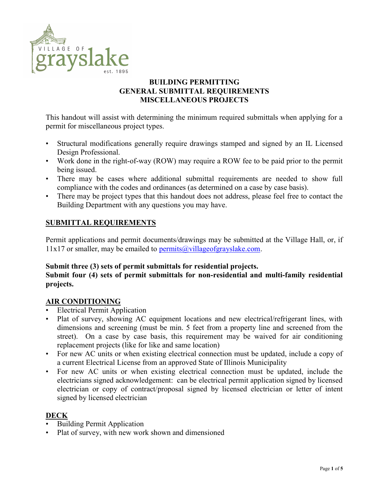

# BUILDING PERMITTING GENERAL SUBMITTAL REQUIREMENTS MISCELLANEOUS PROJECTS

This handout will assist with determining the minimum required submittals when applying for a permit for miscellaneous project types.

- Structural modifications generally require drawings stamped and signed by an IL Licensed Design Professional.
- Work done in the right-of-way (ROW) may require a ROW fee to be paid prior to the permit being issued.
- There may be cases where additional submittal requirements are needed to show full compliance with the codes and ordinances (as determined on a case by case basis).
- There may be project types that this handout does not address, please feel free to contact the Building Department with any questions you may have.

# SUBMITTAL REQUIREMENTS

Permit applications and permit documents/drawings may be submitted at the Village Hall, or, if  $11x17$  or smaller, may be emailed to permits  $\omega$  village of grayslake.com.

#### Submit three (3) sets of permit submittals for residential projects.

## Submit four (4) sets of permit submittals for non-residential and multi-family residential projects.

#### AIR CONDITIONING

- Electrical Permit Application
- Plat of survey, showing AC equipment locations and new electrical/refrigerant lines, with dimensions and screening (must be min. 5 feet from a property line and screened from the street). On a case by case basis, this requirement may be waived for air conditioning replacement projects (like for like and same location)
- For new AC units or when existing electrical connection must be updated, include a copy of a current Electrical License from an approved State of Illinois Municipality
- For new AC units or when existing electrical connection must be updated, include the electricians signed acknowledgement: can be electrical permit application signed by licensed electrician or copy of contract/proposal signed by licensed electrician or letter of intent signed by licensed electrician

# DECK

- Building Permit Application
- Plat of survey, with new work shown and dimensioned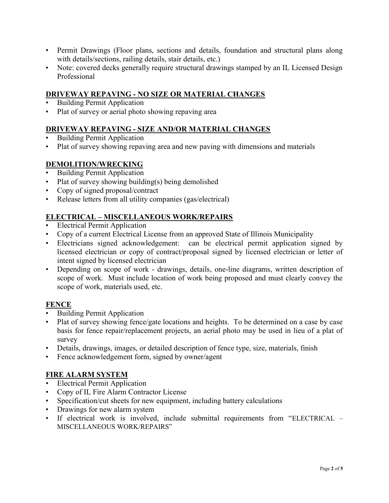- Permit Drawings (Floor plans, sections and details, foundation and structural plans along with details/sections, railing details, stair details, etc.)
- Note: covered decks generally require structural drawings stamped by an IL Licensed Design Professional

## DRIVEWAY REPAVING - NO SIZE OR MATERIAL CHANGES

- Building Permit Application
- Plat of survey or aerial photo showing repaving area

#### DRIVEWAY REPAVING - SIZE AND/OR MATERIAL CHANGES

- Building Permit Application
- Plat of survey showing repaving area and new paving with dimensions and materials

## DEMOLITION/WRECKING

- Building Permit Application
- Plat of survey showing building(s) being demolished
- Copy of signed proposal/contract
- Release letters from all utility companies (gas/electrical)

## ELECTRICAL – MISCELLANEOUS WORK/REPAIRS

- Electrical Permit Application
- Copy of a current Electrical License from an approved State of Illinois Municipality
- Electricians signed acknowledgement: can be electrical permit application signed by licensed electrician or copy of contract/proposal signed by licensed electrician or letter of intent signed by licensed electrician
- Depending on scope of work drawings, details, one-line diagrams, written description of scope of work. Must include location of work being proposed and must clearly convey the scope of work, materials used, etc.

#### **FENCE**

- Building Permit Application
- Plat of survey showing fence/gate locations and heights. To be determined on a case by case basis for fence repair/replacement projects, an aerial photo may be used in lieu of a plat of survey
- Details, drawings, images, or detailed description of fence type, size, materials, finish
- Fence acknowledgement form, signed by owner/agent

#### FIRE ALARM SYSTEM

- Electrical Permit Application
- Copy of IL Fire Alarm Contractor License
- Specification/cut sheets for new equipment, including battery calculations
- Drawings for new alarm system
- If electrical work is involved, include submittal requirements from "ELECTRICAL MISCELLANEOUS WORK/REPAIRS"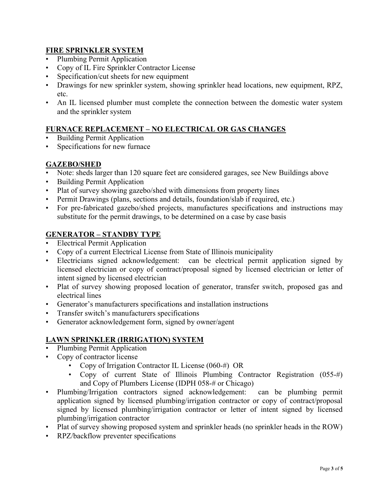## FIRE SPRINKLER SYSTEM

- Plumbing Permit Application
- Copy of IL Fire Sprinkler Contractor License
- Specification/cut sheets for new equipment
- Drawings for new sprinkler system, showing sprinkler head locations, new equipment, RPZ, etc.
- An IL licensed plumber must complete the connection between the domestic water system and the sprinkler system

## FURNACE REPLACEMENT – NO ELECTRICAL OR GAS CHANGES

- Building Permit Application
- Specifications for new furnace

## GAZEBO/SHED

- Note: sheds larger than 120 square feet are considered garages, see New Buildings above
- Building Permit Application
- Plat of survey showing gazebo/shed with dimensions from property lines
- Permit Drawings (plans, sections and details, foundation/slab if required, etc.)
- For pre-fabricated gazebo/shed projects, manufactures specifications and instructions may substitute for the permit drawings, to be determined on a case by case basis

# GENERATOR – STANDBY TYPE

- Electrical Permit Application
- Copy of a current Electrical License from State of Illinois municipality
- Electricians signed acknowledgement: can be electrical permit application signed by licensed electrician or copy of contract/proposal signed by licensed electrician or letter of intent signed by licensed electrician
- Plat of survey showing proposed location of generator, transfer switch, proposed gas and electrical lines
- Generator's manufacturers specifications and installation instructions
- Transfer switch's manufacturers specifications
- Generator acknowledgement form, signed by owner/agent

# LAWN SPRINKLER (IRRIGATION) SYSTEM

- Plumbing Permit Application
- Copy of contractor license
	- Copy of Irrigation Contractor IL License (060-#) OR
	- Copy of current State of Illinois Plumbing Contractor Registration (055-#) and Copy of Plumbers License (IDPH 058-# or Chicago)
- Plumbing/Irrigation contractors signed acknowledgement: can be plumbing permit application signed by licensed plumbing/irrigation contractor or copy of contract/proposal signed by licensed plumbing/irrigation contractor or letter of intent signed by licensed plumbing/irrigation contractor
- Plat of survey showing proposed system and sprinkler heads (no sprinkler heads in the ROW)
- RPZ/backflow preventer specifications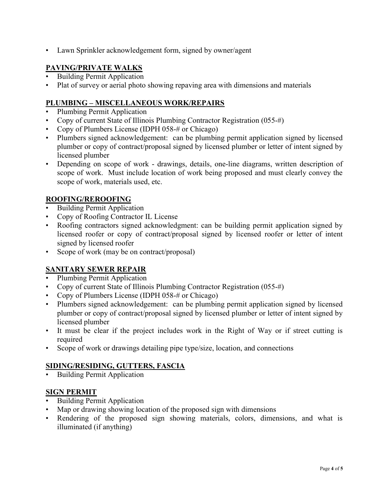• Lawn Sprinkler acknowledgement form, signed by owner/agent

# PAVING/PRIVATE WALKS

- Building Permit Application
- Plat of survey or aerial photo showing repaving area with dimensions and materials

## PLUMBING – MISCELLANEOUS WORK/REPAIRS

- Plumbing Permit Application
- Copy of current State of Illinois Plumbing Contractor Registration (055-#)
- Copy of Plumbers License (IDPH 058-# or Chicago)
- Plumbers signed acknowledgement: can be plumbing permit application signed by licensed plumber or copy of contract/proposal signed by licensed plumber or letter of intent signed by licensed plumber
- Depending on scope of work drawings, details, one-line diagrams, written description of scope of work. Must include location of work being proposed and must clearly convey the scope of work, materials used, etc.

## ROOFING/REROOFING

- Building Permit Application
- Copy of Roofing Contractor IL License
- Roofing contractors signed acknowledgment: can be building permit application signed by licensed roofer or copy of contract/proposal signed by licensed roofer or letter of intent signed by licensed roofer
- Scope of work (may be on contract/proposal)

# SANITARY SEWER REPAIR

- Plumbing Permit Application
- Copy of current State of Illinois Plumbing Contractor Registration (055-#)
- Copy of Plumbers License (IDPH 058-# or Chicago)
- Plumbers signed acknowledgement: can be plumbing permit application signed by licensed plumber or copy of contract/proposal signed by licensed plumber or letter of intent signed by licensed plumber
- It must be clear if the project includes work in the Right of Way or if street cutting is required
- Scope of work or drawings detailing pipe type/size, location, and connections

#### SIDING/RESIDING, GUTTERS, FASCIA

• Building Permit Application

# **SIGN PERMIT**

- Building Permit Application
- Map or drawing showing location of the proposed sign with dimensions
- Rendering of the proposed sign showing materials, colors, dimensions, and what is illuminated (if anything)